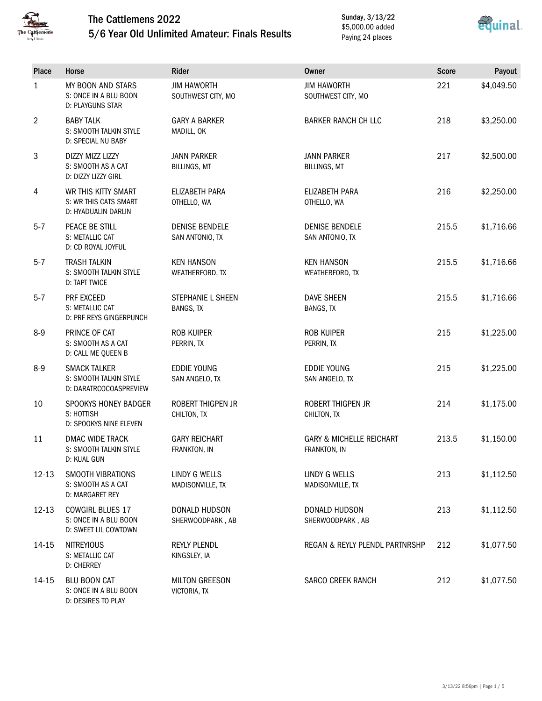

D: DESIRES TO PLAY

## The Cattlemens 2022 5/6 Year Old Unlimited Amateur: Finals Results

Sunday, 3/13/22 \$5,000.00 added Paying 24 places



| Place        | Horse                                                                    | Rider                                        | <b>Owner</b>                                        | <b>Score</b> | Payout     |
|--------------|--------------------------------------------------------------------------|----------------------------------------------|-----------------------------------------------------|--------------|------------|
| $\mathbf{1}$ | MY BOON AND STARS<br>S: ONCE IN A BLU BOON<br>D: PLAYGUNS STAR           | <b>JIM HAWORTH</b><br>SOUTHWEST CITY, MO     | <b>JIM HAWORTH</b><br>SOUTHWEST CITY, MO            | 221          | \$4,049.50 |
| 2            | <b>BABY TALK</b><br>S: SMOOTH TALKIN STYLE<br>D: SPECIAL NU BABY         | <b>GARY A BARKER</b><br>MADILL, OK           | <b>BARKER RANCH CH LLC</b>                          | 218          | \$3,250.00 |
| 3            | DIZZY MIZZ LIZZY<br>S: SMOOTH AS A CAT<br>D: DIZZY LIZZY GIRL            | <b>JANN PARKER</b><br><b>BILLINGS, MT</b>    | <b>JANN PARKER</b><br><b>BILLINGS, MT</b>           | 217          | \$2,500.00 |
| 4            | WR THIS KITTY SMART<br>S: WR THIS CATS SMART<br>D: HYADUALIN DARLIN      | ELIZABETH PARA<br>OTHELLO, WA                | ELIZABETH PARA<br>OTHELLO, WA                       | 216          | \$2,250.00 |
| $5 - 7$      | PEACE BE STILL<br>S: METALLIC CAT<br>D: CD ROYAL JOYFUL                  | <b>DENISE BENDELE</b><br>SAN ANTONIO, TX     | <b>DENISE BENDELE</b><br>SAN ANTONIO, TX            | 215.5        | \$1,716.66 |
| $5 - 7$      | <b>TRASH TALKIN</b><br>S: SMOOTH TALKIN STYLE<br><b>D: TAPT TWICE</b>    | <b>KEN HANSON</b><br>WEATHERFORD, TX         | <b>KEN HANSON</b><br>WEATHERFORD, TX                | 215.5        | \$1,716.66 |
| $5 - 7$      | PRF EXCEED<br>S: METALLIC CAT<br>D: PRF REYS GINGERPUNCH                 | <b>STEPHANIE L SHEEN</b><br><b>BANGS, TX</b> | <b>DAVE SHEEN</b><br><b>BANGS, TX</b>               | 215.5        | \$1,716.66 |
| $8-9$        | PRINCE OF CAT<br>S: SMOOTH AS A CAT<br>D: CALL ME QUEEN B                | <b>ROB KUIPER</b><br>PERRIN, TX              | <b>ROB KUIPER</b><br>PERRIN, TX                     | 215          | \$1,225.00 |
| $8 - 9$      | <b>SMACK TALKER</b><br>S: SMOOTH TALKIN STYLE<br>D: DARATRCOCOASPREVIEW  | <b>EDDIE YOUNG</b><br>SAN ANGELO, TX         | <b>EDDIE YOUNG</b><br>SAN ANGELO, TX                | 215          | \$1,225.00 |
| 10           | SPOOKYS HONEY BADGER<br>S: HOTTISH<br>D: SPOOKYS NINE ELEVEN             | ROBERT THIGPEN JR<br>CHILTON, TX             | <b>ROBERT THIGPEN JR</b><br>CHILTON, TX             | 214          | \$1,175.00 |
| 11           | DMAC WIDE TRACK<br>S: SMOOTH TALKIN STYLE<br>D: KUAL GUN                 | <b>GARY REICHART</b><br>FRANKTON, IN         | <b>GARY &amp; MICHELLE REICHART</b><br>FRANKTON, IN | 213.5        | \$1,150.00 |
| $12 - 13$    | SMOOTH VIBRATIONS<br>S: SMOOTH AS A CAT<br>D: MARGARET REY               | LINDY G WELLS<br>MADISONVILLE, TX            | LINDY G WELLS<br>MADISONVILLE, TX                   | 213          | \$1,112.50 |
| $12 - 13$    | <b>COWGIRL BLUES 17</b><br>S: ONCE IN A BLU BOON<br>D: SWEET LIL COWTOWN | DONALD HUDSON<br>SHERWOODPARK, AB            | DONALD HUDSON<br>SHERWOODPARK, AB                   | 213          | \$1,112.50 |
| 14-15        | <b>NITREYIOUS</b><br>S: METALLIC CAT<br><b>D: CHERREY</b>                | REYLY PLENDL<br>KINGSLEY, IA                 | REGAN & REYLY PLENDL PARTNRSHP                      | 212          | \$1,077.50 |
| 14-15        | <b>BLU BOON CAT</b><br>S: ONCE IN A BLU BOON                             | <b>MILTON GREESON</b><br>VICTORIA, TX        | <b>SARCO CREEK RANCH</b>                            | 212          | \$1,077.50 |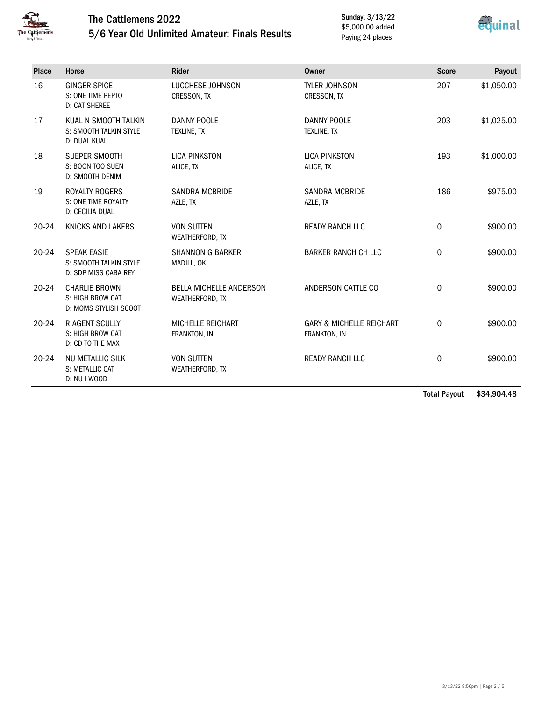

#### The Cattlemens 2022 5/6 Year Old Unlimited Amateur: Finals Results

Sunday, 3/13/22 \$5,000.00 added Paying 24 places



| <b>Place</b> | Horse                                                                  | <b>Rider</b>                                      | Owner                                               | <b>Score</b>     | Payout     |
|--------------|------------------------------------------------------------------------|---------------------------------------------------|-----------------------------------------------------|------------------|------------|
| 16           | <b>GINGER SPICE</b><br>S: ONE TIME PEPTO<br><b>D: CAT SHEREE</b>       | LUCCHESE JOHNSON<br>CRESSON, TX                   | <b>TYLER JOHNSON</b><br>CRESSON, TX                 | 207              | \$1,050.00 |
| 17           | KUAL N SMOOTH TALKIN<br>S: SMOOTH TALKIN STYLE<br>D: DUAL KUAL         | <b>DANNY POOLE</b><br>TEXLINE, TX                 | <b>DANNY POOLE</b><br><b>TEXLINE, TX</b>            | 203              | \$1,025.00 |
| 18           | SUEPER SMOOTH<br>S: BOON TOO SUEN<br>D: SMOOTH DENIM                   | <b>LICA PINKSTON</b><br>ALICE, TX                 | <b>LICA PINKSTON</b><br>ALICE, TX                   | 193              | \$1,000.00 |
| 19           | <b>ROYALTY ROGERS</b><br>S: ONE TIME ROYALTY<br><b>D: CECILIA DUAL</b> | <b>SANDRA MCBRIDE</b><br>AZLE, TX                 | <b>SANDRA MCBRIDE</b><br>AZLE, TX                   | 186              | \$975.00   |
| $20 - 24$    | KNICKS AND LAKERS                                                      | <b>VON SUTTEN</b><br>WEATHERFORD, TX              | <b>READY RANCH LLC</b>                              | $\mathbf 0$      | \$900.00   |
| $20 - 24$    | <b>SPEAK EASIE</b><br>S: SMOOTH TALKIN STYLE<br>D: SDP MISS CABA REY   | <b>SHANNON G BARKER</b><br>MADILL, OK             | <b>BARKER RANCH CH LLC</b>                          | $\boldsymbol{0}$ | \$900.00   |
| $20 - 24$    | <b>CHARLIE BROWN</b><br>S: HIGH BROW CAT<br>D: MOMS STYLISH SCOOT      | <b>BELLA MICHELLE ANDERSON</b><br>WEATHERFORD, TX | ANDERSON CATTLE CO                                  | $\mathbf 0$      | \$900.00   |
| $20 - 24$    | <b>R AGENT SCULLY</b><br>S: HIGH BROW CAT<br>D: CD TO THE MAX          | <b>MICHELLE REICHART</b><br>FRANKTON, IN          | <b>GARY &amp; MICHELLE REICHART</b><br>FRANKTON, IN | $\mathbf 0$      | \$900.00   |
| $20 - 24$    | <b>NU METALLIC SILK</b><br>S: METALLIC CAT<br>D: NU I WOOD             | <b>VON SUTTEN</b><br>WEATHERFORD, TX              | <b>READY RANCH LLC</b>                              | $\mathbf 0$      | \$900.00   |

Total Payout \$34,904.48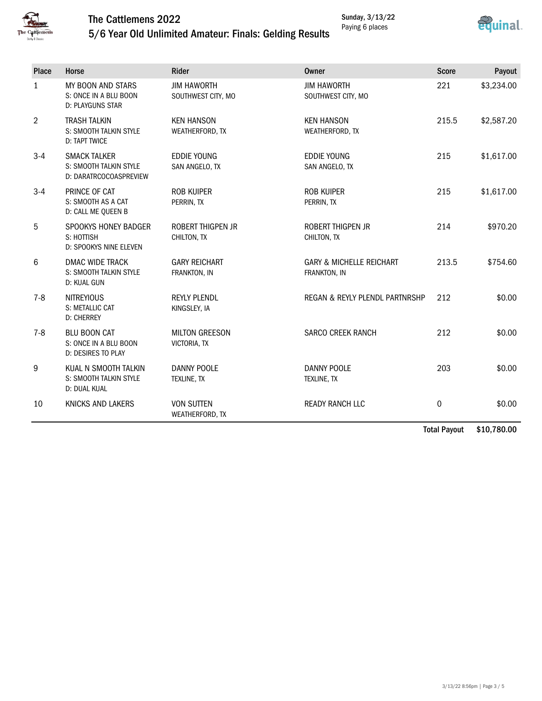

# The Cattlemens 2022



## 5/6 Year Old Unlimited Amateur: Finals: Gelding Results

| <b>Place</b>   | Horse                                                                   | Rider                                    | Owner                                               | <b>Score</b> | Payout     |
|----------------|-------------------------------------------------------------------------|------------------------------------------|-----------------------------------------------------|--------------|------------|
| $\mathbf{1}$   | MY BOON AND STARS<br>S: ONCE IN A BLU BOON<br><b>D: PLAYGUNS STAR</b>   | <b>JIM HAWORTH</b><br>SOUTHWEST CITY, MO | <b>JIM HAWORTH</b><br>SOUTHWEST CITY, MO            | 221          | \$3,234.00 |
| $\overline{2}$ | <b>TRASH TALKIN</b><br>S: SMOOTH TALKIN STYLE<br><b>D: TAPT TWICE</b>   | <b>KEN HANSON</b><br>WEATHERFORD, TX     | <b>KEN HANSON</b><br>WEATHERFORD, TX                | 215.5        | \$2,587.20 |
| $3 - 4$        | <b>SMACK TALKER</b><br>S: SMOOTH TALKIN STYLE<br>D: DARATRCOCOASPREVIEW | <b>EDDIE YOUNG</b><br>SAN ANGELO, TX     | <b>EDDIE YOUNG</b><br>SAN ANGELO, TX                | 215          | \$1,617.00 |
| $3-4$          | PRINCE OF CAT<br>S: SMOOTH AS A CAT<br>D: CALL ME QUEEN B               | <b>ROB KUIPER</b><br>PERRIN, TX          | <b>ROB KUIPER</b><br>PERRIN, TX                     | 215          | \$1,617.00 |
| 5              | SPOOKYS HONEY BADGER<br>S: HOTTISH<br>D: SPOOKYS NINE ELEVEN            | <b>ROBERT THIGPEN JR</b><br>CHILTON, TX  | <b>ROBERT THIGPEN JR</b><br>CHILTON, TX             | 214          | \$970.20   |
| 6              | <b>DMAC WIDE TRACK</b><br>S: SMOOTH TALKIN STYLE<br>D: KUAL GUN         | <b>GARY REICHART</b><br>FRANKTON, IN     | <b>GARY &amp; MICHELLE REICHART</b><br>FRANKTON, IN | 213.5        | \$754.60   |
| $7 - 8$        | <b>NITREYIOUS</b><br>S: METALLIC CAT<br><b>D: CHERREY</b>               | <b>REYLY PLENDL</b><br>KINGSLEY, IA      | REGAN & REYLY PLENDL PARTNRSHP                      | 212          | \$0.00     |
| $7 - 8$        | <b>BLU BOON CAT</b><br>S: ONCE IN A BLU BOON<br>D: DESIRES TO PLAY      | <b>MILTON GREESON</b><br>VICTORIA, TX    | <b>SARCO CREEK RANCH</b>                            | 212          | \$0.00     |
| 9              | KUAL N SMOOTH TALKIN<br>S: SMOOTH TALKIN STYLE<br>D: DUAL KUAL          | DANNY POOLE<br><b>TEXLINE, TX</b>        | <b>DANNY POOLE</b><br>TEXLINE, TX                   | 203          | \$0.00     |
| 10             | <b>KNICKS AND LAKERS</b>                                                | <b>VON SUTTEN</b><br>WEATHERFORD, TX     | <b>READY RANCH LLC</b>                              | $\mathbf 0$  | \$0.00     |

Total Payout \$10,780.00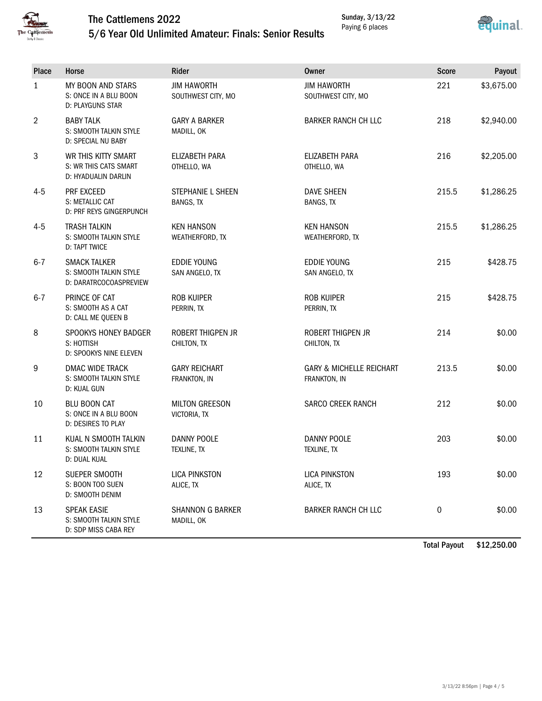

#### The Cattlemens 2022 5/6 Year Old Unlimited Amateur: Finals: Senior Results



 $$0.00$ 

| препенз<br><b>&amp; Classic</b> | 5/6 rear Old Unlimited Amateur: Finals: Senior Results                  |                                          |                                                     |              |            |
|---------------------------------|-------------------------------------------------------------------------|------------------------------------------|-----------------------------------------------------|--------------|------------|
| Place                           | Horse                                                                   | Rider                                    | <b>Owner</b>                                        | <b>Score</b> | Payout     |
| $\mathbf{1}$                    | MY BOON AND STARS<br>S: ONCE IN A BLU BOON<br>D: PLAYGUNS STAR          | <b>JIM HAWORTH</b><br>SOUTHWEST CITY, MO | <b>JIM HAWORTH</b><br>SOUTHWEST CITY, MO            | 221          | \$3,675.00 |
| 2                               | <b>BABY TALK</b><br>S: SMOOTH TALKIN STYLE<br>D: SPECIAL NU BABY        | <b>GARY A BARKER</b><br>MADILL, OK       | <b>BARKER RANCH CH LLC</b>                          | 218          | \$2,940.00 |
| 3                               | WR THIS KITTY SMART<br>S: WR THIS CATS SMART<br>D: HYADUALIN DARLIN     | ELIZABETH PARA<br>OTHELLO, WA            | ELIZABETH PARA<br>OTHELLO, WA                       | 216          | \$2,205.00 |
| $4 - 5$                         | PRF EXCEED<br>S: METALLIC CAT<br>D: PRF REYS GINGERPUNCH                | STEPHANIE L SHEEN<br><b>BANGS, TX</b>    | <b>DAVE SHEEN</b><br><b>BANGS, TX</b>               | 215.5        | \$1,286.25 |
| $4 - 5$                         | <b>TRASH TALKIN</b><br>S: SMOOTH TALKIN STYLE<br>D: TAPT TWICE          | <b>KEN HANSON</b><br>WEATHERFORD, TX     | <b>KEN HANSON</b><br>WEATHERFORD, TX                | 215.5        | \$1,286.25 |
| $6 - 7$                         | <b>SMACK TALKER</b><br>S: SMOOTH TALKIN STYLE<br>D: DARATRCOCOASPREVIEW | <b>EDDIE YOUNG</b><br>SAN ANGELO, TX     | <b>EDDIE YOUNG</b><br>SAN ANGELO, TX                | 215          | \$428.75   |
| $6 - 7$                         | PRINCE OF CAT<br>S: SMOOTH AS A CAT<br>D: CALL ME QUEEN B               | ROB KUIPER<br>PERRIN, TX                 | ROB KUIPER<br>PERRIN, TX                            | 215          | \$428.75   |
| 8                               | SPOOKYS HONEY BADGER<br>S: HOTTISH<br>D: SPOOKYS NINE ELEVEN            | ROBERT THIGPEN JR<br>CHILTON, TX         | ROBERT THIGPEN JR<br>CHILTON, TX                    | 214          | \$0.00     |
| 9                               | DMAC WIDE TRACK<br>S: SMOOTH TALKIN STYLE<br>D: KUAL GUN                | <b>GARY REICHART</b><br>FRANKTON, IN     | <b>GARY &amp; MICHELLE REICHART</b><br>FRANKTON, IN | 213.5        | \$0.00     |
| 10                              | <b>BLU BOON CAT</b><br>S: ONCE IN A BLU BOON<br>D: DESIRES TO PLAY      | <b>MILTON GREESON</b><br>VICTORIA, TX    | SARCO CREEK RANCH                                   | 212          | \$0.00     |
| 11                              | KUAL N SMOOTH TALKIN<br>S: SMOOTH TALKIN STYLE<br>D: DUAL KUAL          | <b>DANNY POOLE</b><br>TEXLINE, TX        | <b>DANNY POOLE</b><br>TEXLINE, TX                   | 203          | \$0.00     |
| 12                              | SUEPER SMOOTH<br>S: BOON TOO SUEN                                       | <b>LICA PINKSTON</b><br>ALICE, TX        | <b>LICA PINKSTON</b><br>ALICE, TX                   | 193          | \$0.00     |

D: SMOOTH DENIM 13 SPEAK EASIE S: SMOOTH TALKIN STYLE D: SDP MISS CABA REY SHANNON G BARKER MADILL, OK BARKER RANCH CH LLC 0 \$0.00

Total Payout \$12,250.00